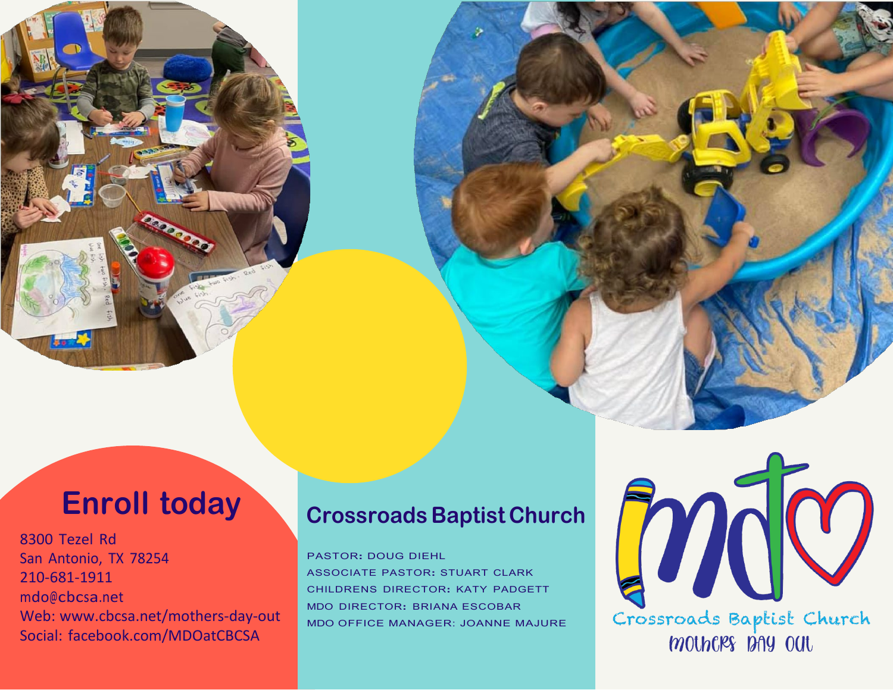**Enroll today**

8300 Tezel Rd San Antonio, TX 78254 210-681-1911 [mdo@cbcsa.net](mailto:mdo@cbcsa.net) Web: [www.cbcsa.net/mothers-day-out](http://www.cbcsa.net/mothers-day-out) Social: facebook.com/MDOatCBCSA

### **Crossroads Baptist Church**

PASTOR: DOUG DIEHL ASSOCIATE PASTOR: STUART CLARK CHILDRENS DIRECTOR: KATY PADGETT MDO DIRECTOR: BRIANA ESCOBAR MDO OFFICE MANAGER: JOANNE MAJURE



mothers biny out